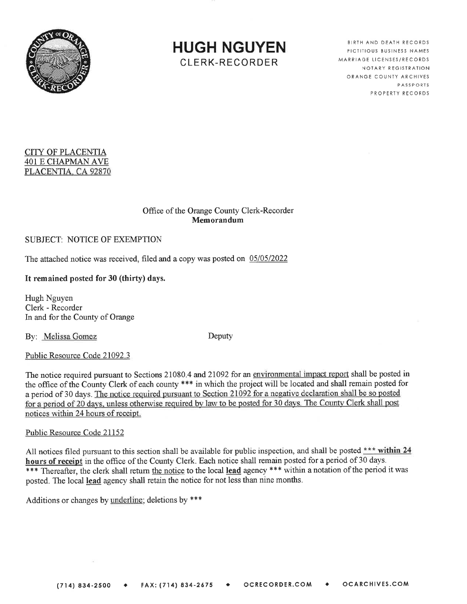

HUGH NGUYENCLERK-RECORDER

BIRTH AND DEATH RECORDS **FICTITIOUS BUSINESS NAMES** MARRIAGE LICENSES/RECORD NOTARY REGISTRATION ORANGE COUNTY ARCHIVESPASSPORTS ROPERTY RECORD

# CITY OF PLACENTIA 401 E CFIAPMAN AVEPLACENTIA. CA 92870

#### Office of the Orange County Clerk-RecorderMemorandum

## SUBJECT: NOTICE OF EXEMPTION

The attached notice was received, filed and a copy was posted on 05/05/2022

## It remained posted for 30 (thirty) days.

Hugh Nguyen Clerk - Recorderln and for the County of Orange

By: Melissa Gomez Deputy

#### Public Resource Code 21092.3

The notice required pursuant to Sections 21080.4 and 21092 for an environmental impact report shall be posted in the office of the County Clerk of each county \*\*\* in which the project will be located and shall remain posted for a period of 30 days. The notice required pursuant to Section 21092 for a negative declaration shall be so posted for a period of 20 days, unless otherwise required by law to be posted for 30 days. The County Clerk shall post notices within 24 hours of receipt.

#### Puhlic Resource Code 21152

All notices filed pursuant to this section shall be available for public inspection, and shall be posted  $***$  within 24 hours of receipt in the office of the County Clerk. Each notice shall remain posted for a period of 30 \*\*\* Thereafter, the clerk shall return the notice to the local lead agency \*\*\* within a notation of the period it was posted. The local lead agency shall retain the notice for not less than nine months.

Additions or changes by underline; deletions by  $***$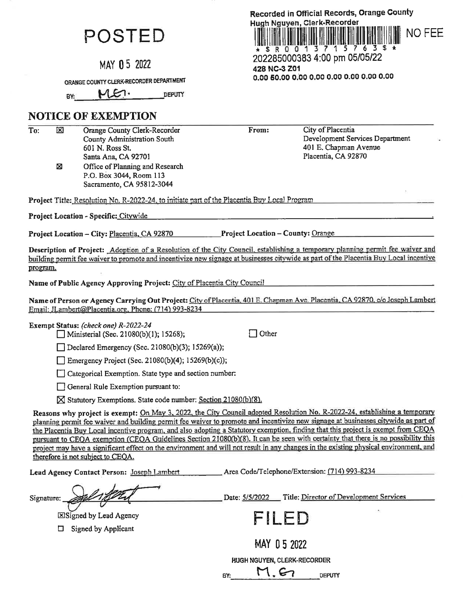# POSTED

MAY 05 2022

ORANGE COUNTY CLERK-RECORDER DEPARTMENT

 $ME.$ **DEPUTY** BY:

# **NOTICE OF EXEMPTION**

 $\overline{\text{To:}}$  $\bar{\boxtimes}$ Orange County Clerk-Recorder County Administration South 601 N. Ross St.

> Santa Ana, CA 92701 Office of Planning and Research Σ P.O. Box 3044, Room 113 Sacramento, CA 95812-3044

Project Title: Resolution No. R-2022-24, to initiate part of the Placentia Buy Local Program

Project Location - Specific: Citywide

**Project Location – County: Orange** Project Location – City: Placentia, CA 92870

Description of Project: Adoption of a Resolution of the City Council, establishing a temporary planning permit fee waiver and building permit fee waiver to promote and incentivize new signage at businesses citywide as part of the Placentia Buy Local incentive program.

From:

Name of Public Agency Approving Project: City of Placentia City Council

Name of Person or Agency Carrying Out Project: City of Placentia, 401 E. Chapman Ave. Placentia, CA 92870, c/o Joseph Lambert Email: JLambert@Placentia.org, Phone: (714) 993-8234

 $\Box$  Other

Exempt Status: (check one) R-2022-24  $\Box$  Ministerial (Sec. 21080(b)(1); 15268);

 $\Box$  Declared Emergency (Sec. 21080(b)(3); 15269(a));

Emergency Project (Sec. 21080(b)(4); 15269(b)(c));

Categorical Exemption. State type and section number:

General Rule Exemption pursuant to:

X Statutory Exemptions. State code number: Section 21080(b)(8).

Reasons why project is exempt: On May 3, 2022, the City Council adopted Resolution No. R-2022-24, establishing a temporary planning permit fee waiver and building permit fee waiver to promote and incentivize new signage at businesses citywide as part of the Placentia Buy Local incentive program, and also adopting a Statutory exemption, finding that this project is exempt from CEQA pursuant to CEQA exemption (CEQA Guidelines Section 21080(b)(8). It can be seen with certainty that there is no possibility this project may have a significant effect on the environment and will not result in any changes in the existing physical environment, and therefore is not subject to CEOA.

BY:

Lead Agency Contact Person: Joseph Lambert Area Code/Telephone/Extension: (714) 993-8234

Signature:

**ElSigned by Lead Agency** 

 $\Box$  Signed by Applicant

Recorded in Official Records, Orange County Hugh Nguyen, Clerk-Recorder **NO FEE** ini în li din de li de li de li de li de li de li de li d

202285000383 4:00 pm 05/05/22 428 NC-3 Z01 

> City of Placentia Development Services Department 401 E. Chapman Avenue Placentia, CA 92870

FILED

Date: 5/5/2022 Title: Director of Development Services

**DEPUTY** 

MAY 05 2022

**HUGH NGUYEN, CLERK-RECORDER** 

 $M.E7$